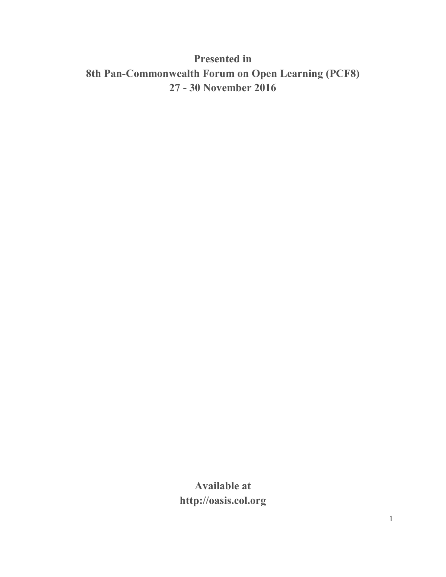# **Presented in 8th Pan-Commonwealth Forum on Open Learning (PCF8) 27 - 30 November 2016**

**Available at http://oasis.col.org**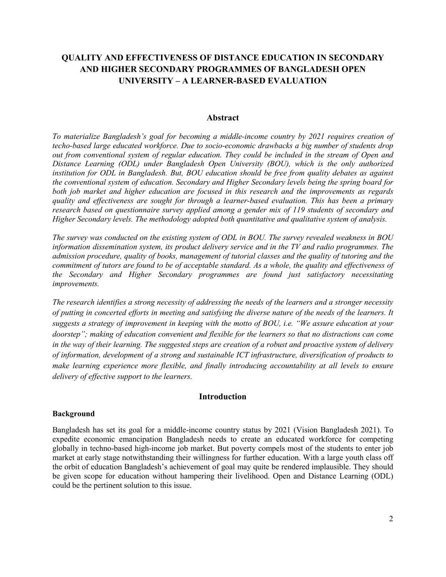## **QUALITY AND EFFECTIVENESS OF DISTANCE EDUCATION IN SECONDARY AND HIGHER SECONDARY PROGRAMMES OF BANGLADESH OPEN UNIVERSITY – A LEARNER-BASED EVALUATION**

#### **Abstract**

*To materialize Bangladesh's goal for becoming a middle-income country by 2021 requires creation of techo-based large educated workforce. Due to socio-economic drawbacks a big number of students drop out from conventional system of regular education. They could be included in the stream of Open and Distance Learning (ODL) under Bangladesh Open University (BOU), which is the only authorized institution for ODL in Bangladesh. But, BOU education should be free from quality debates as against the conventional system of education. Secondary and Higher Secondary levels being the spring board for both job market and higher education are focused in this research and the improvements as regards quality and effectiveness are sought for through a learner-based evaluation. This has been a primary research based on questionnaire survey applied among a gender mix of 119 students of secondary and Higher Secondary levels. The methodology adopted both quantitative and qualitative system of analysis.* 

*The survey was conducted on the existing system of ODL in BOU. The survey revealed weakness in BOU information dissemination system, its product delivery service and in the TV and radio programmes. The admission procedure, quality of books, management of tutorial classes and the quality of tutoring and the commitment of tutors are found to be of acceptable standard. As a whole, the quality and effectiveness of the Secondary and Higher Secondary programmes are found just satisfactory necessitating improvements.* 

*The research identifies a strong necessity of addressing the needs of the learners and a stronger necessity of putting in concerted efforts in meeting and satisfying the diverse nature of the needs of the learners. It suggests a strategy of improvement in keeping with the motto of BOU, i.e. "We assure education at your doorstep"; making of education convenient and flexible for the learners so that no distractions can come in the way of their learning. The suggested steps are creation of a robust and proactive system of delivery of information, development of a strong and sustainable ICT infrastructure, diversification of products to make learning experience more flexible, and finally introducing accountability at all levels to ensure delivery of effective support to the learners.* 

#### **Introduction**

#### **Background**

Bangladesh has set its goal for a middle-income country status by 2021 (Vision Bangladesh 2021). To expedite economic emancipation Bangladesh needs to create an educated workforce for competing globally in techno-based high-income job market. But poverty compels most of the students to enter job market at early stage notwithstanding their willingness for further education. With a large youth class off the orbit of education Bangladesh's achievement of goal may quite be rendered implausible. They should be given scope for education without hampering their livelihood. Open and Distance Learning (ODL) could be the pertinent solution to this issue.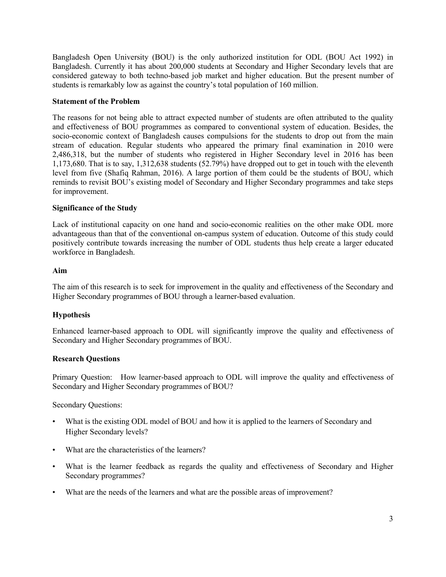Bangladesh Open University (BOU) is the only authorized institution for ODL (BOU Act 1992) in Bangladesh. Currently it has about 200,000 students at Secondary and Higher Secondary levels that are considered gateway to both techno-based job market and higher education. But the present number of students is remarkably low as against the country's total population of 160 million.

#### **Statement of the Problem**

The reasons for not being able to attract expected number of students are often attributed to the quality and effectiveness of BOU programmes as compared to conventional system of education. Besides, the socio-economic context of Bangladesh causes compulsions for the students to drop out from the main stream of education. Regular students who appeared the primary final examination in 2010 were 2,486,318, but the number of students who registered in Higher Secondary level in 2016 has been 1,173,680. That is to say, 1,312,638 students (52.79%) have dropped out to get in touch with the eleventh level from five (Shafiq Rahman, 2016). A large portion of them could be the students of BOU, which reminds to revisit BOU's existing model of Secondary and Higher Secondary programmes and take steps for improvement.

## **Significance of the Study**

Lack of institutional capacity on one hand and socio-economic realities on the other make ODL more advantageous than that of the conventional on-campus system of education. Outcome of this study could positively contribute towards increasing the number of ODL students thus help create a larger educated workforce in Bangladesh.

#### **Aim**

The aim of this research is to seek for improvement in the quality and effectiveness of the Secondary and Higher Secondary programmes of BOU through a learner-based evaluation.

## **Hypothesis**

Enhanced learner-based approach to ODL will significantly improve the quality and effectiveness of Secondary and Higher Secondary programmes of BOU.

#### **Research Questions**

Primary Question: How learner-based approach to ODL will improve the quality and effectiveness of Secondary and Higher Secondary programmes of BOU?

Secondary Questions:

- What is the existing ODL model of BOU and how it is applied to the learners of Secondary and Higher Secondary levels?
- What are the characteristics of the learners?
- What is the learner feedback as regards the quality and effectiveness of Secondary and Higher Secondary programmes?
- What are the needs of the learners and what are the possible areas of improvement?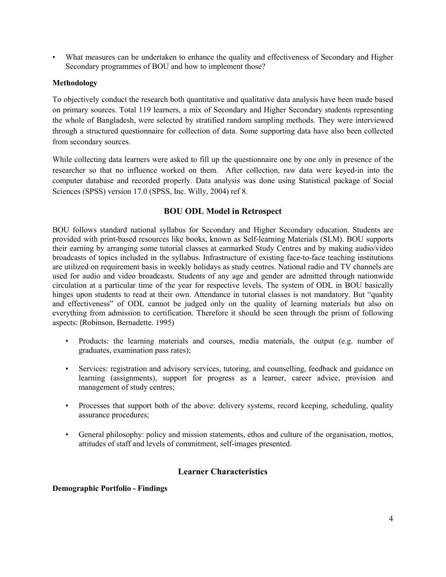• What measures can be undertaken to enhance the quality and effectiveness of Secondary and Higher Secondary programmes of BOU and how to implement those?

## **Methodology**

To objectively conduct the research both quantitative and qualitative data analysis have been made based on primary sources. Total 119 learners, a mix of Secondary and Higher Secondary students representing the whole of Bangladesh, were selected by stratified random sampling methods. They were interviewed through a structured questionnaire for collection of data. Some supporting data have also been collected from secondary sources.

While collecting data learners were asked to fill up the questionnaire one by one only in presence of the researcher so that no influence worked on them. After collection, raw data were keyed-in into the computer database and recorded properly. Data analysis was done using Statistical package of Social Sciences (SPSS) version 17.0 (SPSS, Inc. Willy, 2004) ref 8.

## **BOU ODL Model in Retrospect**

BOU follows standard national syllabus for Secondary and Higher Secondary education. Students are provided with print-based resources like books, known as Self-learning Materials (SLM). BOU supports their earning by arranging some tutorial classes at earmarked Study Centres and by making audio/video broadcasts of topics included in the syllabus. Infrastructure of existing face-to-face teaching institutions are utilized on requirement basis in weekly holidays as study centres. National radio and TV channels are used for audio and video broadcasts. Students of any age and gender are admitted through nationwide circulation at a particular time of the year for respective levels. The system of ODL in BOU basically hinges upon students to read at their own. Attendance in tutorial classes is not mandatory. But "quality and effectiveness" of ODL cannot be judged only on the quality of learning materials but also on everything from admission to certification. Therefore it should be seen through the prism of following aspects: (Robinson, Bernadette. 1995)

- Products: the learning materials and courses, media materials, the output (e.g. number of graduates, examination pass rates);
- Services: registration and advisory services, tutoring, and counselling, feedback and guidance on learning (assignments), support for progress as a learner, career advice, provision and management of study centres;
- Processes that support both of the above: delivery systems, record keeping, scheduling, quality assurance procedures;
- General philosophy: policy and mission statements, ethos and culture of the organisation, mottos, attitudes of staff and levels of commitment, self-images presented.

## **Learner Characteristics**

#### **Demographic Portfolio - Findings**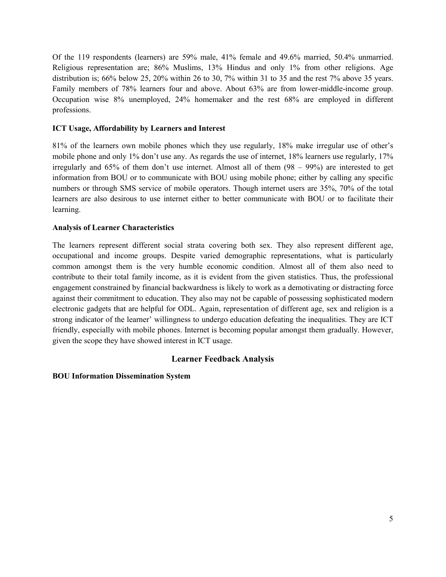Of the 119 respondents (learners) are 59% male, 41% female and 49.6% married, 50.4% unmarried. Religious representation are; 86% Muslims, 13% Hindus and only 1% from other religions. Age distribution is; 66% below 25, 20% within 26 to 30, 7% within 31 to 35 and the rest 7% above 35 years. Family members of 78% learners four and above. About 63% are from lower-middle-income group. Occupation wise 8% unemployed, 24% homemaker and the rest 68% are employed in different professions.

## **ICT Usage, Affordability by Learners and Interest**

81% of the learners own mobile phones which they use regularly, 18% make irregular use of other's mobile phone and only 1% don't use any. As regards the use of internet, 18% learners use regularly, 17% irregularly and 65% of them don't use internet. Almost all of them (98 – 99%) are interested to get information from BOU or to communicate with BOU using mobile phone; either by calling any specific numbers or through SMS service of mobile operators. Though internet users are 35%, 70% of the total learners are also desirous to use internet either to better communicate with BOU or to facilitate their learning.

#### **Analysis of Learner Characteristics**

The learners represent different social strata covering both sex. They also represent different age, occupational and income groups. Despite varied demographic representations, what is particularly common amongst them is the very humble economic condition. Almost all of them also need to contribute to their total family income, as it is evident from the given statistics. Thus, the professional engagement constrained by financial backwardness is likely to work as a demotivating or distracting force against their commitment to education. They also may not be capable of possessing sophisticated modern electronic gadgets that are helpful for ODL. Again, representation of different age, sex and religion is a strong indicator of the learner' willingness to undergo education defeating the inequalities. They are ICT friendly, especially with mobile phones. Internet is becoming popular amongst them gradually. However, given the scope they have showed interest in ICT usage.

## **Learner Feedback Analysis**

#### **BOU Information Dissemination System**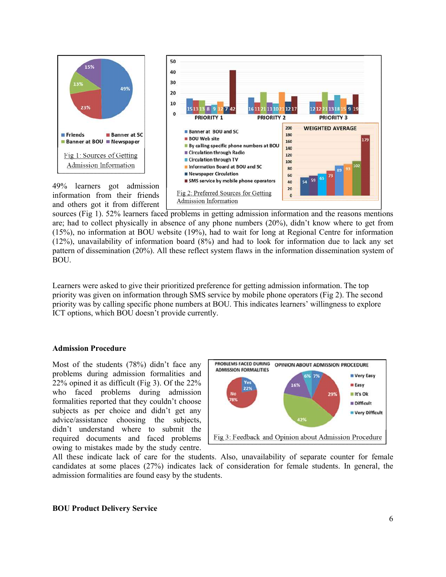

49% learners got admission



information from their friends and others got it from different

sources (Fig 1). 52% learners faced problems in getting admission information and the reasons mentions are; had to collect physically in absence of any phone numbers (20%), didn't know where to get from (15%), no information at BOU website (19%), had to wait for long at Regional Centre for information (12%), unavailability of information board (8%) and had to look for information due to lack any set pattern of dissemination (20%). All these reflect system flaws in the information dissemination system of BOU.

Learners were asked to give their prioritized preference for getting admission information. The top priority was given on information through SMS service by mobile phone operators (Fig 2). The second priority was by calling specific phone numbers at BOU. This indicates learners' willingness to explore ICT options, which BOU doesn't provide currently.

#### **Admission Procedure**

Most of the students (78%) didn't face any problems during admission formalities and 22% opined it as difficult (Fig 3). Of the 22% who faced problems during admission formalities reported that they couldn't choose subjects as per choice and didn't get any advice/assistance choosing the subjects, didn't understand where to submit the required documents and faced problems owing to mistakes made by the study centre.



All these indicate lack of care for the students. Also, unavailability of separate counter for female candidates at some places (27%) indicates lack of consideration for female students. In general, the admission formalities are found easy by the students.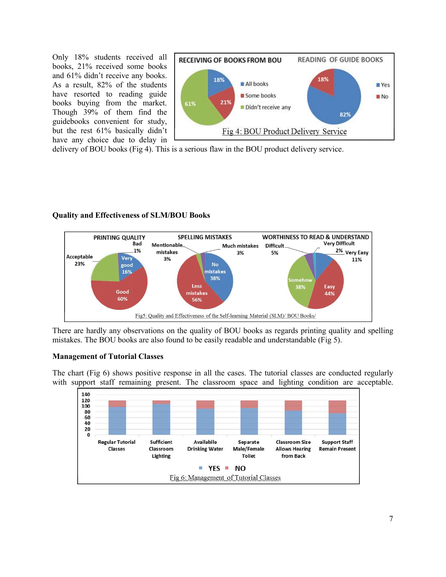Only 18% students received all books, 21% received some books and 61% didn't receive any books. As a result, 82% of the students have resorted to reading guide books buying from the market. Though 39% of them find the guidebooks convenient for study, but the rest 61% basically didn't have any choice due to delay in



delivery of BOU books (Fig 4). This is a serious flaw in the BOU product delivery service.

#### **Quality and Effectiveness of SLM/BOU Books**



There are hardly any observations on the quality of BOU books as regards printing quality and spelling mistakes. The BOU books are also found to be easily readable and understandable (Fig 5).

#### **Management of Tutorial Classes**

The chart (Fig 6) shows positive response in all the cases. The tutorial classes are conducted regularly with support staff remaining present. The classroom space and lighting condition are acceptable.

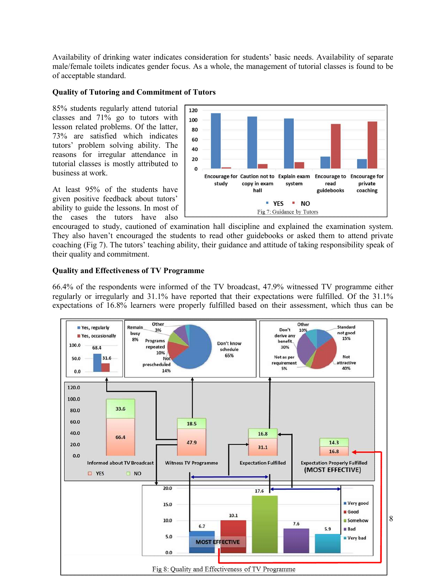Availability of drinking water indicates consideration for students' basic needs. Availability of separate male/female toilets indicates gender focus. As a whole, the management of tutorial classes is found to be of acceptable standard.

## **Quality of Tutoring and Commitment of Tutors**

85% students regularly attend tutorial classes and 71% go to tutors with lesson related problems. Of the latter, 73% are satisfied which indicates tutors' problem solving ability. The reasons for irregular attendance in tutorial classes is mostly attributed to business at work.

At least 95% of the students have given positive feedback about tutors' ability to guide the lessons. In most of the cases the tutors have also



encouraged to study, cautioned of examination hall discipline and explained the examination system. They also haven't encouraged the students to read other guidebooks or asked them to attend private coaching (Fig 7). The tutors' teaching ability, their guidance and attitude of taking responsibility speak of their quality and commitment.

## **Quality and Effectiveness of TV Programme**

66.4% of the respondents were informed of the TV broadcast, 47.9% witnessed TV programme either regularly or irregularly and 31.1% have reported that their expectations were fulfilled. Of the 31.1% expectations of 16.8% learners were properly fulfilled based on their assessment, which thus can be

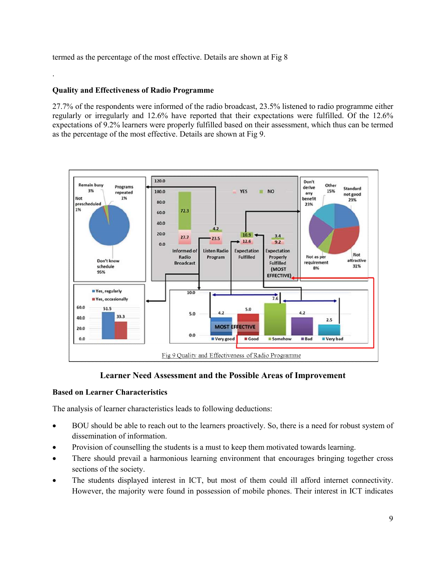termed as the percentage of the most effective. Details are shown at Fig 8

## **Quality and Effectiveness of Radio Programme**

.

27.7% of the respondents were informed of the radio broadcast, 23.5% listened to radio programme either regularly or irregularly and 12.6% have reported that their expectations were fulfilled. Of the 12.6% expectations of 9.2% learners were properly fulfilled based on their assessment, which thus can be termed as the percentage of the most effective. Details are shown at Fig 9.



## **Learner Need Assessment and the Possible Areas of Improvement**

#### **Based on Learner Characteristics**

The analysis of learner characteristics leads to following deductions:

- BOU should be able to reach out to the learners proactively. So, there is a need for robust system of dissemination of information.
- Provision of counselling the students is a must to keep them motivated towards learning.
- There should prevail a harmonious learning environment that encourages bringing together cross sections of the society.
- The students displayed interest in ICT, but most of them could ill afford internet connectivity. However, the majority were found in possession of mobile phones. Their interest in ICT indicates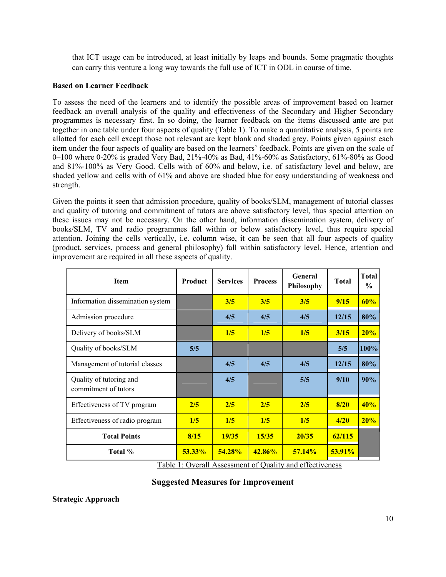that ICT usage can be introduced, at least initially by leaps and bounds. Some pragmatic thoughts can carry this venture a long way towards the full use of ICT in ODL in course of time.

## **Based on Learner Feedback**

To assess the need of the learners and to identify the possible areas of improvement based on learner feedback an overall analysis of the quality and effectiveness of the Secondary and Higher Secondary programmes is necessary first. In so doing, the learner feedback on the items discussed ante are put together in one table under four aspects of quality (Table 1). To make a quantitative analysis, 5 points are allotted for each cell except those not relevant are kept blank and shaded grey. Points given against each item under the four aspects of quality are based on the learners' feedback. Points are given on the scale of 0–100 where 0-20% is graded Very Bad, 21%-40% as Bad, 41%-60% as Satisfactory, 61%-80% as Good and 81%-100% as Very Good. Cells with of 60% and below, i.e. of satisfactory level and below, are shaded yellow and cells with of 61% and above are shaded blue for easy understanding of weakness and strength.

Given the points it seen that admission procedure, quality of books/SLM, management of tutorial classes and quality of tutoring and commitment of tutors are above satisfactory level, thus special attention on these issues may not be necessary. On the other hand, information dissemination system, delivery of books/SLM, TV and radio programmes fall within or below satisfactory level, thus require special attention. Joining the cells vertically, i.e. column wise, it can be seen that all four aspects of quality (product, services, process and general philosophy) fall within satisfactory level. Hence, attention and improvement are required in all these aspects of quality.

| <b>Item</b>                                     | Product   | <b>Services</b> | <b>Process</b> | General<br>Philosophy | <b>Total</b> | <b>Total</b><br>$\frac{6}{9}$ |
|-------------------------------------------------|-----------|-----------------|----------------|-----------------------|--------------|-------------------------------|
| Information dissemination system                |           | 3/5             | 3/5            | 3/5                   | 9/15         | 60%                           |
| Admission procedure                             |           | 4/5             | 4/5            | 4/5                   | 12/15        | 80%                           |
| Delivery of books/SLM                           |           | 1/5             | 1/5            | 1/5                   | 3/15         | 20%                           |
| Quality of books/SLM                            | 5/5       |                 |                |                       | 5/5          | 100%                          |
| Management of tutorial classes                  |           | 4/5             | 4/5            | 4/5                   | 12/15        | 80%                           |
| Quality of tutoring and<br>commitment of tutors |           | 4/5             |                | 5/5                   | 9/10         | 90%                           |
| Effectiveness of TV program                     | 2/5       | 2/5             | 2/5            | 2/5                   | 8/20         | 40%                           |
| Effectiveness of radio program                  | 1/5       | 1/5             | 1/5            | 1/5                   | 4/20         | 20%                           |
| <b>Total Points</b>                             | 8/15      | 19/35           | 15/35          | 20/35                 | 62/115       |                               |
| Total %                                         | $53.33\%$ | 54.28%          | 42.86%         | 57.14%                | 53.91%       |                               |

Table 1: Overall Assessment of Quality and effectiveness

## **Suggested Measures for Improvement**

**Strategic Approach**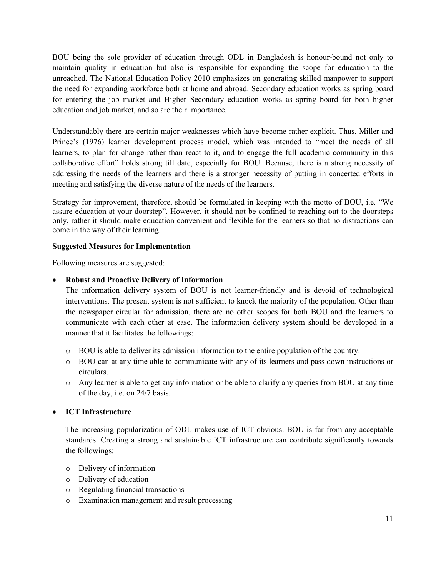BOU being the sole provider of education through ODL in Bangladesh is honour-bound not only to maintain quality in education but also is responsible for expanding the scope for education to the unreached. The National Education Policy 2010 emphasizes on generating skilled manpower to support the need for expanding workforce both at home and abroad. Secondary education works as spring board for entering the job market and Higher Secondary education works as spring board for both higher education and job market, and so are their importance.

Understandably there are certain major weaknesses which have become rather explicit. Thus, Miller and Prince's (1976) learner development process model, which was intended to "meet the needs of all learners, to plan for change rather than react to it, and to engage the full academic community in this collaborative effort" holds strong till date, especially for BOU. Because, there is a strong necessity of addressing the needs of the learners and there is a stronger necessity of putting in concerted efforts in meeting and satisfying the diverse nature of the needs of the learners.

Strategy for improvement, therefore, should be formulated in keeping with the motto of BOU, i.e. "We assure education at your doorstep". However, it should not be confined to reaching out to the doorsteps only, rather it should make education convenient and flexible for the learners so that no distractions can come in the way of their learning.

## **Suggested Measures for Implementation**

Following measures are suggested:

## **Robust and Proactive Delivery of Information**

The information delivery system of BOU is not learner-friendly and is devoid of technological interventions. The present system is not sufficient to knock the majority of the population. Other than the newspaper circular for admission, there are no other scopes for both BOU and the learners to communicate with each other at ease. The information delivery system should be developed in a manner that it facilitates the followings:

- o BOU is able to deliver its admission information to the entire population of the country.
- o BOU can at any time able to communicate with any of its learners and pass down instructions or circulars.
- o Any learner is able to get any information or be able to clarify any queries from BOU at any time of the day, i.e. on 24/7 basis.

## **ICT Infrastructure**

The increasing popularization of ODL makes use of ICT obvious. BOU is far from any acceptable standards. Creating a strong and sustainable ICT infrastructure can contribute significantly towards the followings:

- o Delivery of information
- o Delivery of education
- o Regulating financial transactions
- o Examination management and result processing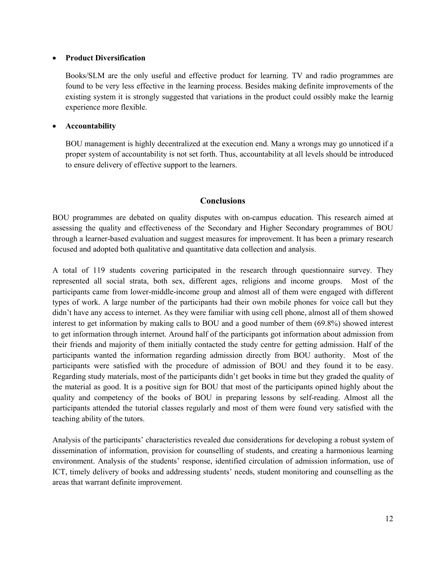#### **Product Diversification**

Books/SLM are the only useful and effective product for learning. TV and radio programmes are found to be very less effective in the learning process. Besides making definite improvements of the existing system it is strongly suggested that variations in the product could ossibly make the learnig experience more flexible.

## **Accountability**

BOU management is highly decentralized at the execution end. Many a wrongs may go unnoticed if a proper system of accountability is not set forth. Thus, accountability at all levels should be introduced to ensure delivery of effective support to the learners.

## **Conclusions**

BOU programmes are debated on quality disputes with on-campus education. This research aimed at assessing the quality and effectiveness of the Secondary and Higher Secondary programmes of BOU through a learner-based evaluation and suggest measures for improvement. It has been a primary research focused and adopted both qualitative and quantitative data collection and analysis.

A total of 119 students covering participated in the research through questionnaire survey. They represented all social strata, both sex, different ages, religions and income groups. Most of the participants came from lower-middle-income group and almost all of them were engaged with different types of work. A large number of the participants had their own mobile phones for voice call but they didn't have any access to internet. As they were familiar with using cell phone, almost all of them showed interest to get information by making calls to BOU and a good number of them (69.8%) showed interest to get information through internet. Around half of the participants got information about admission from their friends and majority of them initially contacted the study centre for getting admission. Half of the participants wanted the information regarding admission directly from BOU authority. Most of the participants were satisfied with the procedure of admission of BOU and they found it to be easy. Regarding study materials, most of the participants didn't get books in time but they graded the quality of the material as good. It is a positive sign for BOU that most of the participants opined highly about the quality and competency of the books of BOU in preparing lessons by self-reading. Almost all the participants attended the tutorial classes regularly and most of them were found very satisfied with the teaching ability of the tutors.

Analysis of the participants' characteristics revealed due considerations for developing a robust system of dissemination of information, provision for counselling of students, and creating a harmonious learning environment. Analysis of the students' response, identified circulation of admission information, use of ICT, timely delivery of books and addressing students' needs, student monitoring and counselling as the areas that warrant definite improvement.